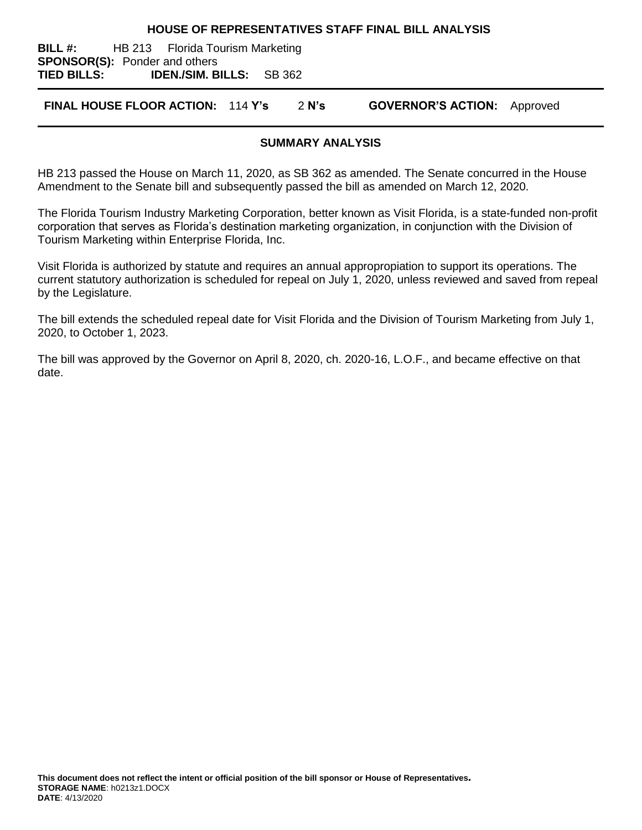#### **HOUSE OF REPRESENTATIVES STAFF FINAL BILL ANALYSIS**

**BILL #:** HB 213 Florida Tourism Marketing **SPONSOR(S):** Ponder and others **TIED BILLS: IDEN./SIM. BILLS:** SB 362

**FINAL HOUSE FLOOR ACTION:** 114 **Y's** 2 **N's GOVERNOR'S ACTION:** Approved

#### **SUMMARY ANALYSIS**

HB 213 passed the House on March 11, 2020, as SB 362 as amended. The Senate concurred in the House Amendment to the Senate bill and subsequently passed the bill as amended on March 12, 2020.

The Florida Tourism Industry Marketing Corporation, better known as Visit Florida, is a state-funded non-profit corporation that serves as Florida's destination marketing organization, in conjunction with the Division of Tourism Marketing within Enterprise Florida, Inc.

Visit Florida is authorized by statute and requires an annual appropropiation to support its operations. The current statutory authorization is scheduled for repeal on July 1, 2020, unless reviewed and saved from repeal by the Legislature.

The bill extends the scheduled repeal date for Visit Florida and the Division of Tourism Marketing from July 1, 2020, to October 1, 2023.

The bill was approved by the Governor on April 8, 2020, ch. 2020-16, L.O.F., and became effective on that date.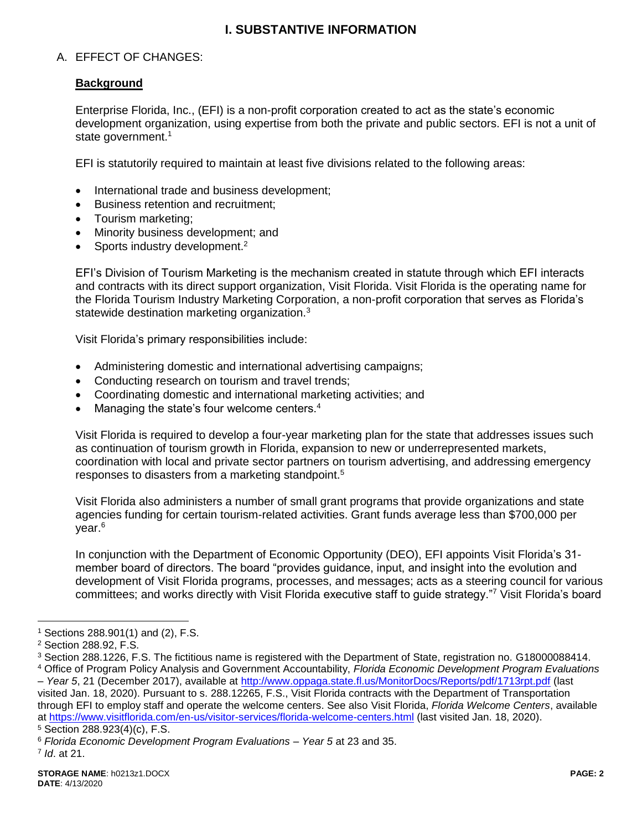# **I. SUBSTANTIVE INFORMATION**

## A. EFFECT OF CHANGES:

## **Background**

Enterprise Florida, Inc., (EFI) is a non-profit corporation created to act as the state's economic development organization, using expertise from both the private and public sectors. EFI is not a unit of state government. $1$ 

EFI is statutorily required to maintain at least five divisions related to the following areas:

- International trade and business development;
- Business retention and recruitment;
- Tourism marketing;
- Minority business development; and
- Sports industry development.<sup>2</sup>

EFI's Division of Tourism Marketing is the mechanism created in statute through which EFI interacts and contracts with its direct support organization, Visit Florida. Visit Florida is the operating name for the Florida Tourism Industry Marketing Corporation, a non-profit corporation that serves as Florida's statewide destination marketing organization.<sup>3</sup>

Visit Florida's primary responsibilities include:

- Administering domestic and international advertising campaigns;
- Conducting research on tourism and travel trends;
- Coordinating domestic and international marketing activities; and
- Managing the state's four welcome centers.<sup>4</sup>

Visit Florida is required to develop a four-year marketing plan for the state that addresses issues such as continuation of tourism growth in Florida, expansion to new or underrepresented markets, coordination with local and private sector partners on tourism advertising, and addressing emergency responses to disasters from a marketing standpoint.<sup>5</sup>

Visit Florida also administers a number of small grant programs that provide organizations and state agencies funding for certain tourism-related activities. Grant funds average less than \$700,000 per year.<sup>6</sup>

In conjunction with the Department of Economic Opportunity (DEO), EFI appoints Visit Florida's 31 member board of directors. The board "provides guidance, input, and insight into the evolution and development of Visit Florida programs, processes, and messages; acts as a steering council for various committees; and works directly with Visit Florida executive staff to guide strategy."<sup>7</sup> Visit Florida's board

 $\overline{a}$ 

 $1$  Sections 288.901(1) and (2), F.S.

<sup>2</sup> Section 288.92, F.S.

<sup>3</sup> Section 288.1226, F.S. The fictitious name is registered with the Department of State, registration no. G18000088414. <sup>4</sup> Office of Program Policy Analysis and Government Accountability, *Florida Economic Development Program Evaluations* 

*<sup>–</sup> Year 5*, 21 (December 2017), available at<http://www.oppaga.state.fl.us/MonitorDocs/Reports/pdf/1713rpt.pdf> (last visited Jan. 18, 2020). Pursuant to s. 288.12265, F.S., Visit Florida contracts with the Department of Transportation through EFI to employ staff and operate the welcome centers. See also Visit Florida, *Florida Welcome Centers*, available at<https://www.visitflorida.com/en-us/visitor-services/florida-welcome-centers.html> (last visited Jan. 18, 2020).

<sup>5</sup> Section 288.923(4)(c), F.S.

<sup>6</sup> *Florida Economic Development Program Evaluations – Year 5* at 23 and 35.

<sup>7</sup> *Id*. at 21.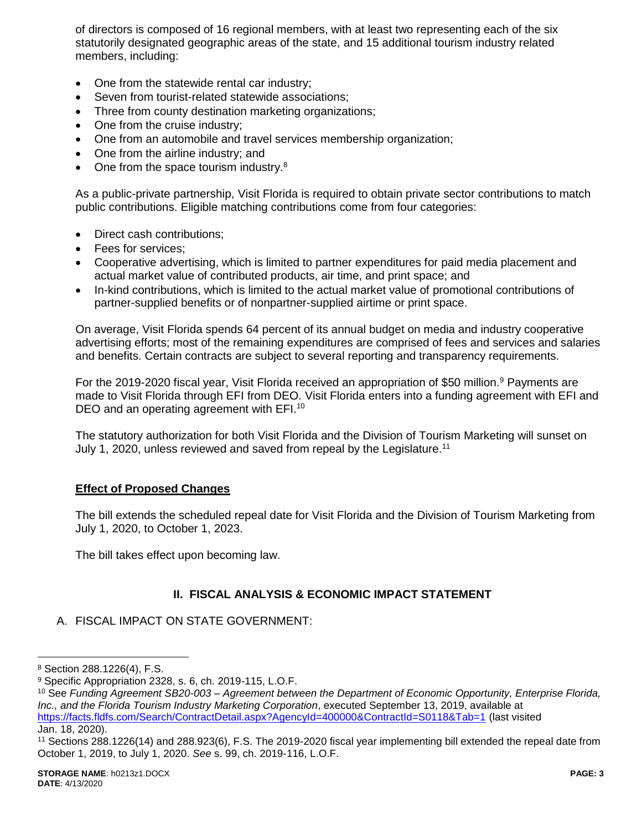of directors is composed of 16 regional members, with at least two representing each of the six statutorily designated geographic areas of the state, and 15 additional tourism industry related members, including:

- One from the statewide rental car industry;
- Seven from tourist-related statewide associations;
- Three from county destination marketing organizations;
- One from the cruise industry;
- One from an automobile and travel services membership organization;
- One from the airline industry; and
- $\bullet$  One from the space tourism industry.<sup>8</sup>

As a public-private partnership, Visit Florida is required to obtain private sector contributions to match public contributions. Eligible matching contributions come from four categories:

- Direct cash contributions;
- Fees for services;
- Cooperative advertising, which is limited to partner expenditures for paid media placement and actual market value of contributed products, air time, and print space; and
- In-kind contributions, which is limited to the actual market value of promotional contributions of partner-supplied benefits or of nonpartner-supplied airtime or print space.

On average, Visit Florida spends 64 percent of its annual budget on media and industry cooperative advertising efforts; most of the remaining expenditures are comprised of fees and services and salaries and benefits. Certain contracts are subject to several reporting and transparency requirements.

For the 2019-2020 fiscal year, Visit Florida received an appropriation of \$50 million.<sup>9</sup> Payments are made to Visit Florida through EFI from DEO. Visit Florida enters into a funding agreement with EFI and DEO and an operating agreement with EFI.<sup>10</sup>

The statutory authorization for both Visit Florida and the Division of Tourism Marketing will sunset on July 1, 2020, unless reviewed and saved from repeal by the Legislature.<sup>11</sup>

#### **Effect of Proposed Changes**

The bill extends the scheduled repeal date for Visit Florida and the Division of Tourism Marketing from July 1, 2020, to October 1, 2023.

The bill takes effect upon becoming law.

## **II. FISCAL ANALYSIS & ECONOMIC IMPACT STATEMENT**

A. FISCAL IMPACT ON STATE GOVERNMENT:

 $\overline{a}$ 

<sup>8</sup> Section 288.1226(4), F.S.

<sup>9</sup> Specific Appropriation 2328, s. 6, ch. 2019-115, L.O.F.

<sup>10</sup> See *Funding Agreement SB20-003 – Agreement between the Department of Economic Opportunity, Enterprise Florida, Inc., and the Florida Tourism Industry Marketing Corporation*, executed September 13, 2019, available at <https://facts.fldfs.com/Search/ContractDetail.aspx?AgencyId=400000&ContractId=S0118&Tab=1> (last visited Jan. 18, 2020).

<sup>11</sup> Sections 288.1226(14) and 288.923(6), F.S. The 2019-2020 fiscal year implementing bill extended the repeal date from October 1, 2019, to July 1, 2020. *See* s. 99, ch. 2019-116, L.O.F.